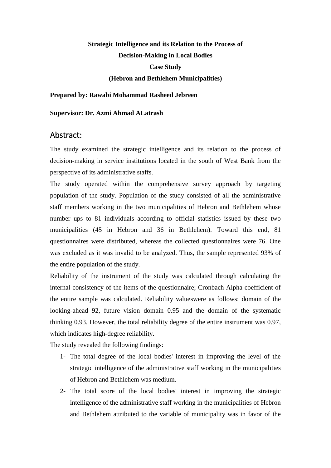## **Strategic Intelligence and its Relation to the Process of Decision-Making in Local Bodies Case Study (Hebron and Bethlehem Municipalities)**

## **Prepared by: Rawabi Mohammad Rasheed Jebreen**

**Supervisor: Dr. Azmi Ahmad ALatrash**

## Abstract:

The study examined the strategic intelligence and its relation to the process of decision-making in service institutions located in the south of West Bank from the perspective of its administrative staffs.

The study operated within the comprehensive survey approach by targeting population of the study. Population of the study consisted of all the administrative staff members working in the two municipalities of Hebron and Bethlehem whose number ups to 81 individuals according to official statistics issued by these two municipalities (45 in Hebron and 36 in Bethlehem). Toward this end, 81 questionnaires were distributed, whereas the collected questionnaires were 76. One was excluded as it was invalid to be analyzed. Thus, the sample represented 93% of the entire population of the study.

Reliability of the instrument of the study was calculated through calculating the internal consistency of the items of the questionnaire; Cronbach Alpha coefficient of the entire sample was calculated. Reliability valueswere as follows: domain of the looking-ahead 92, future vision domain 0.95 and the domain of the systematic thinking 0.93. However, the total reliability degree of the entire instrument was 0.97, which indicates high-degree reliability.

The study revealed the following findings:

- 1- The total degree of the local bodies' interest in improving the level of the strategic intelligence of the administrative staff working in the municipalities of Hebron and Bethlehem was medium.
- 2- The total score of the local bodies' interest in improving the strategic intelligence of the administrative staff working in the municipalities of Hebron and Bethlehem attributed to the variable of municipality was in favor of the